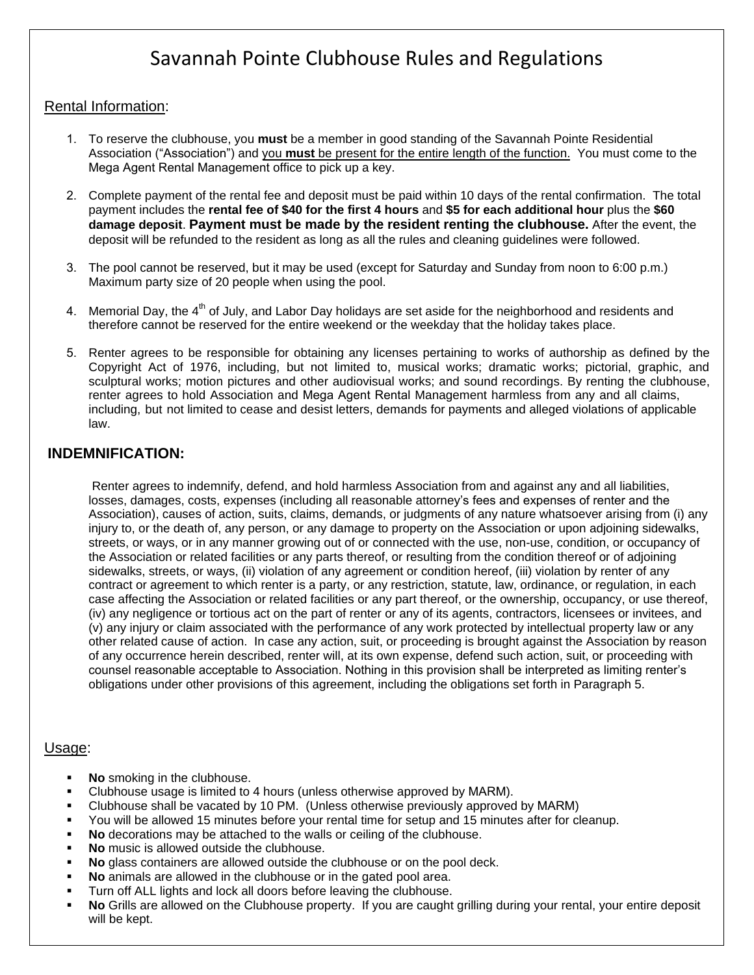# Savannah Pointe Clubhouse Rules and Regulations

## Rental Information:

- 1. To reserve the clubhouse, you **must** be a member in good standing of the Savannah Pointe Residential Association ("Association") and you **must** be present for the entire length of the function. You must come to the Mega Agent Rental Management office to pick up a key.
- 2. Complete payment of the rental fee and deposit must be paid within 10 days of the rental confirmation. The total payment includes the **rental fee of \$40 for the first 4 hours** and **\$5 for each additional hour** plus the **\$60 damage deposit**. **Payment must be made by the resident renting the clubhouse.** After the event, the deposit will be refunded to the resident as long as all the rules and cleaning guidelines were followed.
- 3. The pool cannot be reserved, but it may be used (except for Saturday and Sunday from noon to 6:00 p.m.) Maximum party size of 20 people when using the pool.
- 4. Memorial Day, the  $4^{th}$  of July, and Labor Day holidays are set aside for the neighborhood and residents and therefore cannot be reserved for the entire weekend or the weekday that the holiday takes place.
- 5. Renter agrees to be responsible for obtaining any licenses pertaining to works of authorship as defined by the Copyright Act of 1976, including, but not limited to, musical works; dramatic works; pictorial, graphic, and sculptural works; motion pictures and other audiovisual works; and sound recordings. By renting the clubhouse, renter agrees to hold Association and Mega Agent Rental Management harmless from any and all claims, including, but not limited to cease and desist letters, demands for payments and alleged violations of applicable law.

## **INDEMNIFICATION:**

 Renter agrees to indemnify, defend, and hold harmless Association from and against any and all liabilities, losses, damages, costs, expenses (including all reasonable attorney's fees and expenses of renter and the Association), causes of action, suits, claims, demands, or judgments of any nature whatsoever arising from (i) any injury to, or the death of, any person, or any damage to property on the Association or upon adjoining sidewalks, streets, or ways, or in any manner growing out of or connected with the use, non-use, condition, or occupancy of the Association or related facilities or any parts thereof, or resulting from the condition thereof or of adjoining sidewalks, streets, or ways, (ii) violation of any agreement or condition hereof, (iii) violation by renter of any contract or agreement to which renter is a party, or any restriction, statute, law, ordinance, or regulation, in each case affecting the Association or related facilities or any part thereof, or the ownership, occupancy, or use thereof, (iv) any negligence or tortious act on the part of renter or any of its agents, contractors, licensees or invitees, and (v) any injury or claim associated with the performance of any work protected by intellectual property law or any other related cause of action. In case any action, suit, or proceeding is brought against the Association by reason of any occurrence herein described, renter will, at its own expense, defend such action, suit, or proceeding with counsel reasonable acceptable to Association. Nothing in this provision shall be interpreted as limiting renter's obligations under other provisions of this agreement, including the obligations set forth in Paragraph 5.

#### Usage:

- **No** smoking in the clubhouse.
- Clubhouse usage is limited to 4 hours (unless otherwise approved by MARM).
- Clubhouse shall be vacated by 10 PM. (Unless otherwise previously approved by MARM)
- You will be allowed 15 minutes before your rental time for setup and 15 minutes after for cleanup.
- **No** decorations may be attached to the walls or ceiling of the clubhouse.
- **No** music is allowed outside the clubhouse.
- **No** glass containers are allowed outside the clubhouse or on the pool deck.
- **No** animals are allowed in the clubhouse or in the gated pool area.
- Turn off ALL lights and lock all doors before leaving the clubhouse.
- **No** Grills are allowed on the Clubhouse property. If you are caught grilling during your rental, your entire deposit will be kept.